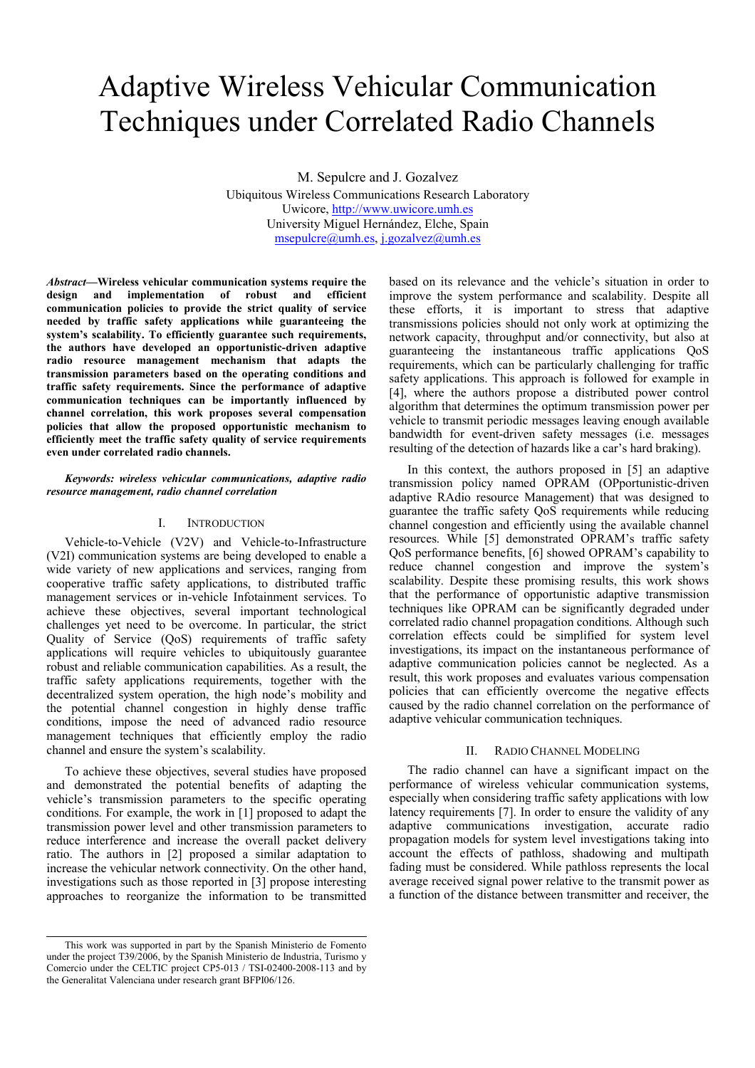# Adaptive Wireless Vehicular Communication Techniques under Correlated Radio Channels

M. Sepulcre and J. Gozalvez

Ubiquitous Wireless Communications Research Laboratory Uwicore, http://www.uwicore.umh.es University Miguel Hernández, Elche, Spain msepulcre@umh.es, j.gozalvez@umh.es

Abstract—Wireless vehicular communication systems require the design and implementation of robust and efficient communication policies to provide the strict quality of service needed by traffic safety applications while guaranteeing the system's scalability. To efficiently guarantee such requirements, the authors have developed an opportunistic-driven adaptive radio resource management mechanism that adapts the transmission parameters based on the operating conditions and traffic safety requirements. Since the performance of adaptive communication techniques can be importantly influenced by channel correlation, this work proposes several compensation policies that allow the proposed opportunistic mechanism to efficiently meet the traffic safety quality of service requirements even under correlated radio channels.

## Keywords: wireless vehicular communications, adaptive radio resource management, radio channel correlation

# I. INTRODUCTION

Vehicle-to-Vehicle (V2V) and Vehicle-to-Infrastructure (V2I) communication systems are being developed to enable a wide variety of new applications and services, ranging from cooperative traffic safety applications, to distributed traffic management services or in-vehicle Infotainment services. To achieve these objectives, several important technological challenges yet need to be overcome. In particular, the strict Quality of Service (QoS) requirements of traffic safety applications will require vehicles to ubiquitously guarantee robust and reliable communication capabilities. As a result, the traffic safety applications requirements, together with the decentralized system operation, the high node's mobility and the potential channel congestion in highly dense traffic conditions, impose the need of advanced radio resource management techniques that efficiently employ the radio channel and ensure the system's scalability.

To achieve these objectives, several studies have proposed and demonstrated the potential benefits of adapting the vehicle's transmission parameters to the specific operating conditions. For example, the work in [1] proposed to adapt the transmission power level and other transmission parameters to reduce interference and increase the overall packet delivery ratio. The authors in [2] proposed a similar adaptation to increase the vehicular network connectivity. On the other hand, investigations such as those reported in [3] propose interesting approaches to reorganize the information to be transmitted

based on its relevance and the vehicle's situation in order to improve the system performance and scalability. Despite all these efforts, it is important to stress that adaptive transmissions policies should not only work at optimizing the network capacity, throughput and/or connectivity, but also at guaranteeing the instantaneous traffic applications QoS requirements, which can be particularly challenging for traffic safety applications. This approach is followed for example in [4], where the authors propose a distributed power control algorithm that determines the optimum transmission power per vehicle to transmit periodic messages leaving enough available bandwidth for event-driven safety messages (i.e. messages resulting of the detection of hazards like a car's hard braking).

In this context, the authors proposed in [5] an adaptive transmission policy named OPRAM (OPportunistic-driven adaptive RAdio resource Management) that was designed to guarantee the traffic safety QoS requirements while reducing channel congestion and efficiently using the available channel resources. While [5] demonstrated OPRAM's traffic safety QoS performance benefits, [6] showed OPRAM's capability to reduce channel congestion and improve the system's scalability. Despite these promising results, this work shows that the performance of opportunistic adaptive transmission techniques like OPRAM can be significantly degraded under correlated radio channel propagation conditions. Although such correlation effects could be simplified for system level investigations, its impact on the instantaneous performance of adaptive communication policies cannot be neglected. As a result, this work proposes and evaluates various compensation policies that can efficiently overcome the negative effects caused by the radio channel correlation on the performance of adaptive vehicular communication techniques.

#### II. RADIO CHANNEL MODELING

The radio channel can have a significant impact on the performance of wireless vehicular communication systems, especially when considering traffic safety applications with low latency requirements [7]. In order to ensure the validity of any adaptive communications investigation, accurate radio propagation models for system level investigations taking into account the effects of pathloss, shadowing and multipath fading must be considered. While pathloss represents the local average received signal power relative to the transmit power as a function of the distance between transmitter and receiver, the

This work was supported in part by the Spanish Ministerio de Fomento under the project T39/2006, by the Spanish Ministerio de Industria, Turismo y Comercio under the CELTIC project CP5-013 / TSI-02400-2008-113 and by the Generalitat Valenciana under research grant BFPI06/126.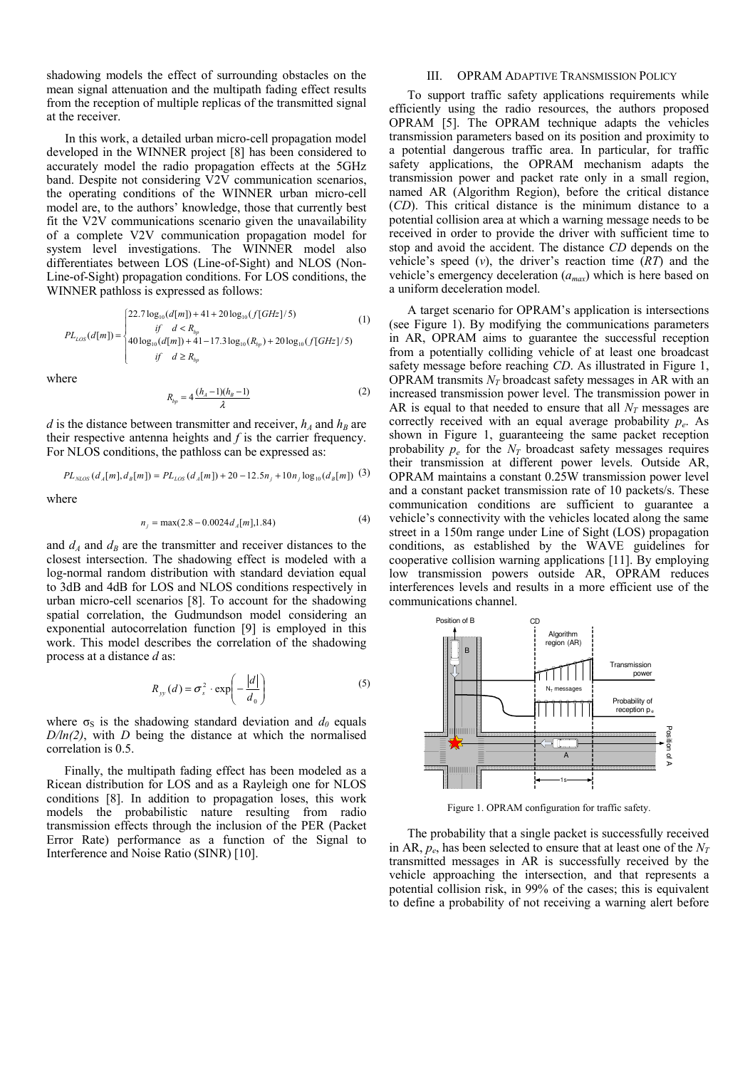shadowing models the effect of surrounding obstacles on the mean signal attenuation and the multipath fading effect results from the reception of multiple replicas of the transmitted signal at the receiver.

In this work, a detailed urban micro-cell propagation model developed in the WINNER project [8] has been considered to accurately model the radio propagation effects at the 5GHz band. Despite not considering V2V communication scenarios, the operating conditions of the WINNER urban micro-cell model are, to the authors' knowledge, those that currently best fit the V2V communications scenario given the unavailability of a complete V2V communication propagation model for system level investigations. The WINNER model also differentiates between LOS (Line-of-Sight) and NLOS (Non-Line-of-Sight) propagation conditions. For LOS conditions, the WINNER pathloss is expressed as follows:

$$
PL_{LOS}(d[m]) = \begin{cases} 22.7 \log_{10}(d[m]) + 41 + 20 \log_{10}(f[GHz]/5) & (1) \\ \quad \text{if} \quad d < R_{bp} \\ 40 \log_{10}(d[m]) + 41 - 17.3 \log_{10}(R_{bp}) + 20 \log_{10}(f[GHz]/5) \\ \quad \text{if} \quad d \ge R_{bp} \end{cases}
$$

where

$$
R_{bp} = 4 \frac{(h_A - 1)(h_B - 1)}{\lambda}
$$
 (2)

d is the distance between transmitter and receiver,  $h_A$  and  $h_B$  are their respective antenna heights and  $f$  is the carrier frequency. For NLOS conditions, the pathloss can be expressed as:

$$
PL_{NLOS}(d_A[m], d_B[m]) = PL_{LOS}(d_A[m]) + 20 - 12.5n_j + 10n_j \log_{10}(d_B[m])
$$
 (3)

where

$$
n_j = \max(2.8 - 0.0024d_A[m], 1.84)
$$
 (4)

and  $d_A$  and  $d_B$  are the transmitter and receiver distances to the closest intersection. The shadowing effect is modeled with a log-normal random distribution with standard deviation equal to 3dB and 4dB for LOS and NLOS conditions respectively in urban micro-cell scenarios [8]. To account for the shadowing spatial correlation, the Gudmundson model considering an exponential autocorrelation function [9] is employed in this work. This model describes the correlation of the shadowing process at a distance d as:

$$
R_{yy}(d) = \sigma_s^2 \cdot \exp\left(-\frac{|d|}{d_0}\right) \tag{5}
$$

where  $\sigma_s$  is the shadowing standard deviation and  $d_0$  equals  $D/\ln(2)$ , with D being the distance at which the normalised correlation is 0.5.

Finally, the multipath fading effect has been modeled as a Ricean distribution for LOS and as a Rayleigh one for NLOS conditions [8]. In addition to propagation loses, this work models the probabilistic nature resulting from radio transmission effects through the inclusion of the PER (Packet Error Rate) performance as a function of the Signal to Interference and Noise Ratio (SINR) [10].

# III. OPRAM ADAPTIVE TRANSMISSION POLICY

To support traffic safety applications requirements while efficiently using the radio resources, the authors proposed OPRAM [5]. The OPRAM technique adapts the vehicles transmission parameters based on its position and proximity to a potential dangerous traffic area. In particular, for traffic safety applications, the OPRAM mechanism adapts the transmission power and packet rate only in a small region, named AR (Algorithm Region), before the critical distance (CD). This critical distance is the minimum distance to a potential collision area at which a warning message needs to be received in order to provide the driver with sufficient time to stop and avoid the accident. The distance CD depends on the vehicle's speed  $(v)$ , the driver's reaction time  $(RT)$  and the vehicle's emergency deceleration  $(a_{max})$  which is here based on a uniform deceleration model.

A target scenario for OPRAM's application is intersections (see Figure 1). By modifying the communications parameters in AR, OPRAM aims to guarantee the successful reception from a potentially colliding vehicle of at least one broadcast safety message before reaching CD. As illustrated in Figure 1, OPRAM transmits  $N_T$  broadcast safety messages in AR with an increased transmission power level. The transmission power in AR is equal to that needed to ensure that all  $N_T$  messages are correctly received with an equal average probability  $p_e$ . As shown in Figure 1, guaranteeing the same packet reception probability  $p_e$  for the  $N_T$  broadcast safety messages requires their transmission at different power levels. Outside AR, OPRAM maintains a constant 0.25W transmission power level and a constant packet transmission rate of 10 packets/s. These communication conditions are sufficient to guarantee a vehicle's connectivity with the vehicles located along the same street in a 150m range under Line of Sight (LOS) propagation conditions, as established by the WAVE guidelines for cooperative collision warning applications [11]. By employing low transmission powers outside AR, OPRAM reduces interferences levels and results in a more efficient use of the communications channel.



Figure 1. OPRAM configuration for traffic safety.

The probability that a single packet is successfully received in AR,  $p_e$ , has been selected to ensure that at least one of the  $N_T$ transmitted messages in AR is successfully received by the vehicle approaching the intersection, and that represents a potential collision risk, in 99% of the cases; this is equivalent to define a probability of not receiving a warning alert before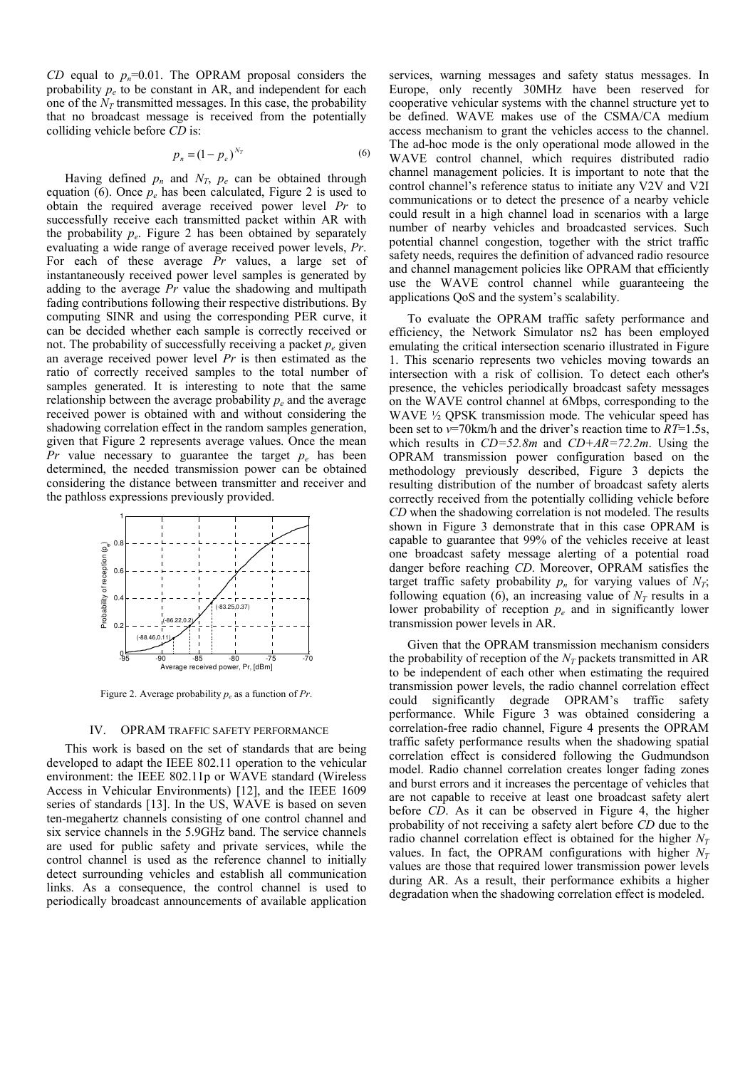CD equal to  $p_n=0.01$ . The OPRAM proposal considers the probability  $p_e$  to be constant in AR, and independent for each one of the  $N_T$  transmitted messages. In this case, the probability that no broadcast message is received from the potentially colliding vehicle before CD is:

$$
p_n = (1 - p_e)^{N_T} \tag{6}
$$

Having defined  $p_n$  and  $N_T$ ,  $p_e$  can be obtained through equation (6). Once  $p_e$  has been calculated, Figure 2 is used to obtain the required average received power level Pr to successfully receive each transmitted packet within AR with the probability  $p_e$ . Figure 2 has been obtained by separately evaluating a wide range of average received power levels, Pr. For each of these average Pr values, a large set of instantaneously received power level samples is generated by adding to the average  $Pr$  value the shadowing and multipath fading contributions following their respective distributions. By computing SINR and using the corresponding PER curve, it can be decided whether each sample is correctly received or not. The probability of successfully receiving a packet  $p_e$  given an average received power level Pr is then estimated as the ratio of correctly received samples to the total number of samples generated. It is interesting to note that the same relationship between the average probability  $p_e$  and the average received power is obtained with and without considering the shadowing correlation effect in the random samples generation, given that Figure 2 represents average values. Once the mean *Pr* value necessary to guarantee the target  $p_e$  has been determined, the needed transmission power can be obtained considering the distance between transmitter and receiver and the pathloss expressions previously provided.



Figure 2. Average probability  $p_e$  as a function of Pr.

#### IV. OPRAM TRAFFIC SAFETY PERFORMANCE

This work is based on the set of standards that are being developed to adapt the IEEE 802.11 operation to the vehicular environment: the IEEE 802.11p or WAVE standard (Wireless Access in Vehicular Environments) [12], and the IEEE 1609 series of standards [13]. In the US, WAVE is based on seven ten-megahertz channels consisting of one control channel and six service channels in the 5.9GHz band. The service channels are used for public safety and private services, while the control channel is used as the reference channel to initially detect surrounding vehicles and establish all communication links. As a consequence, the control channel is used to periodically broadcast announcements of available application services, warning messages and safety status messages. In Europe, only recently 30MHz have been reserved for cooperative vehicular systems with the channel structure yet to be defined. WAVE makes use of the CSMA/CA medium access mechanism to grant the vehicles access to the channel. The ad-hoc mode is the only operational mode allowed in the WAVE control channel, which requires distributed radio channel management policies. It is important to note that the control channel's reference status to initiate any V2V and V2I communications or to detect the presence of a nearby vehicle could result in a high channel load in scenarios with a large number of nearby vehicles and broadcasted services. Such potential channel congestion, together with the strict traffic safety needs, requires the definition of advanced radio resource and channel management policies like OPRAM that efficiently use the WAVE control channel while guaranteeing the applications QoS and the system's scalability.

To evaluate the OPRAM traffic safety performance and efficiency, the Network Simulator ns2 has been employed emulating the critical intersection scenario illustrated in Figure 1. This scenario represents two vehicles moving towards an intersection with a risk of collision. To detect each other's presence, the vehicles periodically broadcast safety messages on the WAVE control channel at 6Mbps, corresponding to the WAVE <sup>1/2</sup> QPSK transmission mode. The vehicular speed has been set to  $v=70$ km/h and the driver's reaction time to  $RT=1.5$ s, which results in  $CD=52.8m$  and  $CD+AR=72.2m$ . Using the OPRAM transmission power configuration based on the methodology previously described, Figure 3 depicts the resulting distribution of the number of broadcast safety alerts correctly received from the potentially colliding vehicle before CD when the shadowing correlation is not modeled. The results shown in Figure 3 demonstrate that in this case OPRAM is capable to guarantee that 99% of the vehicles receive at least one broadcast safety message alerting of a potential road danger before reaching CD. Moreover, OPRAM satisfies the target traffic safety probability  $p_n$  for varying values of  $N_T$ ; following equation (6), an increasing value of  $N_T$  results in a lower probability of reception  $p_e$  and in significantly lower transmission power levels in AR.

Given that the OPRAM transmission mechanism considers the probability of reception of the  $N_T$  packets transmitted in AR to be independent of each other when estimating the required transmission power levels, the radio channel correlation effect could significantly degrade OPRAM's traffic safety performance. While Figure 3 was obtained considering a correlation-free radio channel, Figure 4 presents the OPRAM traffic safety performance results when the shadowing spatial correlation effect is considered following the Gudmundson model. Radio channel correlation creates longer fading zones and burst errors and it increases the percentage of vehicles that are not capable to receive at least one broadcast safety alert before CD. As it can be observed in Figure 4, the higher probability of not receiving a safety alert before CD due to the radio channel correlation effect is obtained for the higher  $N_T$ values. In fact, the OPRAM configurations with higher  $N_T$ values are those that required lower transmission power levels during AR. As a result, their performance exhibits a higher degradation when the shadowing correlation effect is modeled.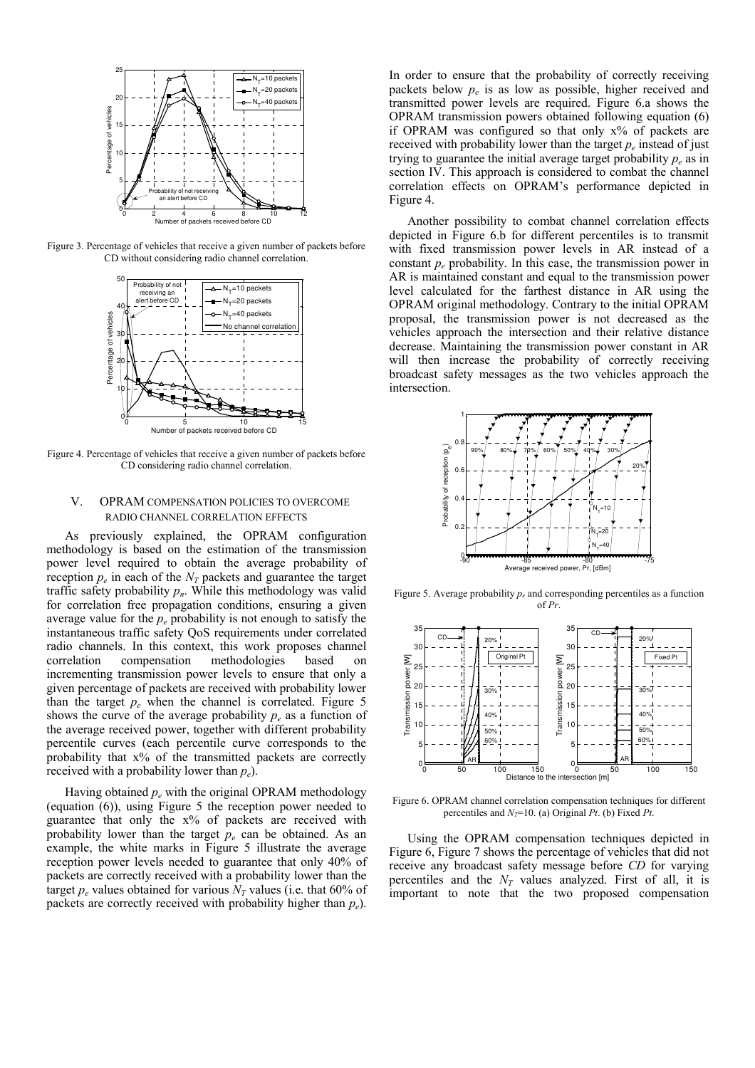

Figure 3. Percentage of vehicles that receive a given number of packets before CD without considering radio channel correlation.



Figure 4. Percentage of vehicles that receive a given number of packets before CD considering radio channel correlation.

# V. OPRAM COMPENSATION POLICIES TO OVERCOME RADIO CHANNEL CORRELATION EFFECTS

As previously explained, the OPRAM configuration methodology is based on the estimation of the transmission power level required to obtain the average probability of reception  $p_e$  in each of the  $N_T$  packets and guarantee the target traffic safety probability  $p_n$ . While this methodology was valid for correlation free propagation conditions, ensuring a given average value for the  $p_e$  probability is not enough to satisfy the instantaneous traffic safety QoS requirements under correlated radio channels. In this context, this work proposes channel correlation compensation methodologies based on incrementing transmission power levels to ensure that only a given percentage of packets are received with probability lower than the target  $p_e$  when the channel is correlated. Figure 5 shows the curve of the average probability  $p_e$  as a function of the average received power, together with different probability percentile curves (each percentile curve corresponds to the probability that x% of the transmitted packets are correctly received with a probability lower than  $p_e$ ).

Having obtained  $p_e$  with the original OPRAM methodology (equation (6)), using Figure 5 the reception power needed to guarantee that only the x% of packets are received with probability lower than the target  $p_e$  can be obtained. As an example, the white marks in Figure 5 illustrate the average reception power levels needed to guarantee that only 40% of packets are correctly received with a probability lower than the target  $p_e$  values obtained for various  $N_T$  values (i.e. that 60% of packets are correctly received with probability higher than  $p_e$ ).

In order to ensure that the probability of correctly receiving packets below  $p_e$  is as low as possible, higher received and transmitted power levels are required. Figure 6.a shows the OPRAM transmission powers obtained following equation (6) if OPRAM was configured so that only x% of packets are received with probability lower than the target  $p_e$  instead of just trying to guarantee the initial average target probability  $p_e$  as in section IV. This approach is considered to combat the channel correlation effects on OPRAM's performance depicted in Figure 4.

Another possibility to combat channel correlation effects depicted in Figure 6.b for different percentiles is to transmit with fixed transmission power levels in AR instead of a constant  $p_e$  probability. In this case, the transmission power in AR is maintained constant and equal to the transmission power level calculated for the farthest distance in AR using the OPRAM original methodology. Contrary to the initial OPRAM proposal, the transmission power is not decreased as the vehicles approach the intersection and their relative distance decrease. Maintaining the transmission power constant in AR will then increase the probability of correctly receiving broadcast safety messages as the two vehicles approach the intersection.



Figure 5. Average probability  $p_e$  and corresponding percentiles as a function of Pr.



Figure 6. OPRAM channel correlation compensation techniques for different percentiles and  $N_T$ =10. (a) Original Pt. (b) Fixed Pt.

Using the OPRAM compensation techniques depicted in Figure 6, Figure 7 shows the percentage of vehicles that did not receive any broadcast safety message before CD for varying percentiles and the  $N_T$  values analyzed. First of all, it is important to note that the two proposed compensation